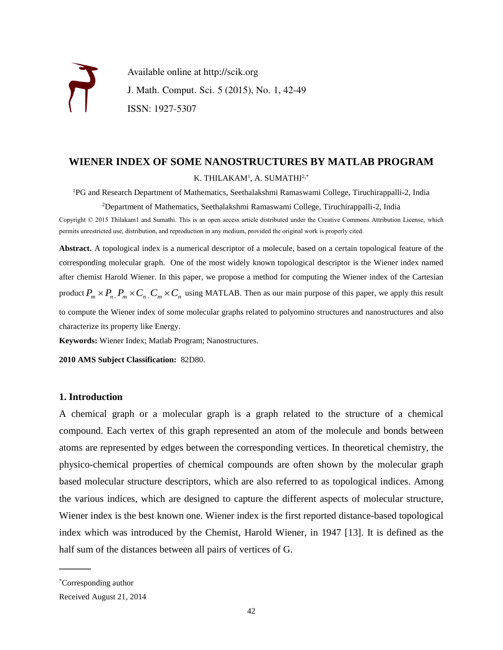

Available online at http://scik.org J. Math. Comput. Sci. 5 (2015), No. 1, 42-49 ISSN: 1927-5307

### **WIENER INDEX OF SOME NANOSTRUCTURES BY MATLAB PROGRAM** K. THILAKAM $^1$ , A. SUMATHI $^{2,\ast}$

<sup>1</sup>PG and Research Department of Mathematics, Seethalakshmi Ramaswami College, Tiruchirappalli-2, India

<sup>2</sup>Department of Mathematics, Seethalakshmi Ramaswami College, Tiruchirappalli-2, India

Copyright © 2015 Thilakam1 and Sumathi. This is an open access article distributed under the Creative Commons Attribution License, which permits unrestricted use, distribution, and reproduction in any medium, provided the original work is properly cited.

**Abstract.** A topological index is a numerical descriptor of a molecule, based on a certain topological feature of the corresponding molecular graph. One of the most widely known topological descriptor is the Wiener index named after chemist Harold Wiener. In this paper, we propose a method for computing the Wiener index of the Cartesian product  $P_m \times P_n$ ,  $P_m \times C_n$ ,  $C_m \times C_n$  using MATLAB. Then as our main purpose of this paper, we apply this result to compute the Wiener index of some molecular graphs related to polyomino structures and nanostructures and also characterize its property like Energy.

**Keywords:** Wiener Index; Matlab Program; Nanostructures.

**2010 AMS Subject Classification:** 82D80.

### **1. Introduction**

A chemical graph or a molecular graph is a graph related to the structure of a chemical compound. Each vertex of this graph represented an atom of the molecule and bonds between atoms are represented by edges between the corresponding vertices. In theoretical chemistry, the physico-chemical properties of chemical compounds are often shown by the molecular graph based molecular structure descriptors, which are also referred to as topological indices. Among the various indices, which are designed to capture the different aspects of molecular structure, Wiener index is the best known one. Wiener index is the first reported distance-based topological index which was introduced by the Chemist, Harold Wiener, in 1947 [13]. It is defined as the half sum of the distances between all pairs of vertices of G.

 $\overline{\phantom{a}}$ 

<sup>\*</sup>Corresponding author

Received August 21, 2014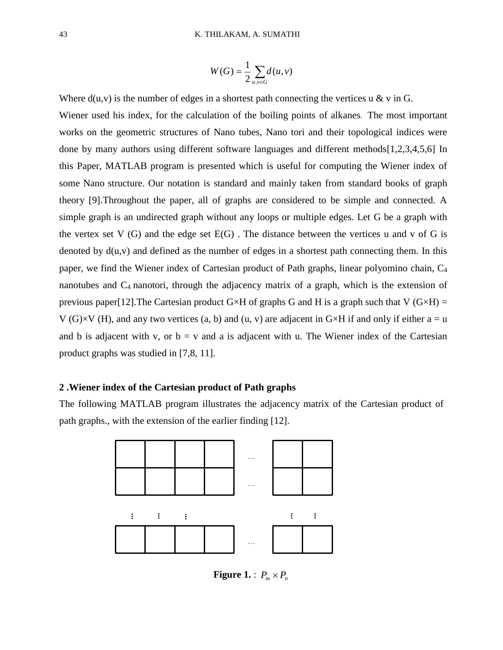$$
W(G) = \frac{1}{2} \sum_{u,v \in G} d(u,v)
$$

Where  $d(u,v)$  is the number of edges in a shortest path connecting the vertices u & v in G. Wiener used his index, for the calculation of the boiling points of alkanes. The most important works on the geometric structures of Nano tubes, Nano tori and their topological indices were done by many authors using different software languages and different methods[1,2,3,4,5,6] In this Paper, MATLAB program is presented which is useful for computing the Wiener index of some Nano structure. Our notation is standard and mainly taken from standard books of graph theory [9].Throughout the paper, all of graphs are considered to be simple and connected. A simple graph is an undirected graph without any loops or multiple edges. Let G be a graph with the vertex set  $V(G)$  and the edge set  $E(G)$ . The distance between the vertices u and v of G is denoted by  $d(u, v)$  and defined as the number of edges in a shortest path connecting them. In this paper, we find the Wiener index of Cartesian product of Path graphs, linear polyomino chain, C<sup>4</sup> nanotubes and C4 nanotori, through the adjacency matrix of a graph, which is the extension of previous paper[12]. The Cartesian product G  $\times$ H of graphs G and H is a graph such that V (G  $\times$ H) = V (G) $\times$ V (H), and any two vertices (a, b) and (u, v) are adjacent in G $\times$ H if and only if either a = u and b is adjacent with v, or  $b = v$  and a is adjacent with u. The Wiener index of the Cartesian product graphs was studied in [7,8, 11].

### **2 .Wiener index of the Cartesian product of Path graphs**

The following MATLAB program illustrates the adjacency matrix of the Cartesian product of path graphs., with the extension of the earlier finding [12].



Figure 1. :  $P_m \times P_n$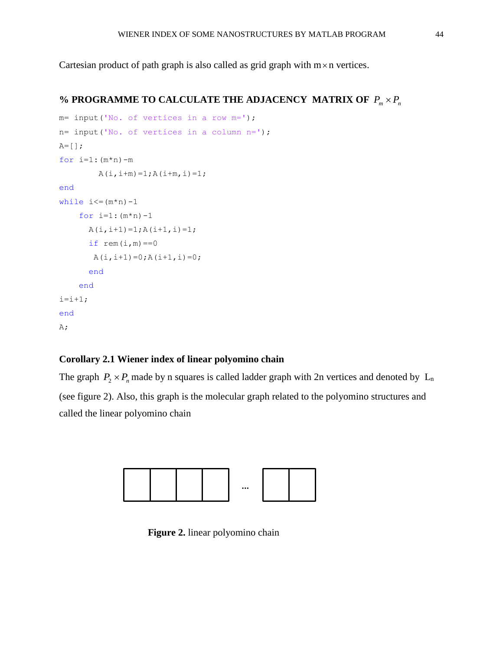Cartesian product of path graph is also called as grid graph with  $m \times n$  vertices.

### % PROGRAMME TO CALCULATE THE ADJACENCY MATRIX OF  $P_m \times P_n$

```
m= input('No. of vertices in a row m=');
n= input('No. of vertices in a column n=');
A=[] ;
for i=1: (m*n) -mA(i, i+m) = 1; A(i+m, i) = 1;end
while i \leq (m*n) - 1for i=1: (m*n) - 1A(i, i+1)=1; A(i+1, i)=1;if rem(i,m) == 0A(i, i+1)=0; A(i+1, i)=0; end
     end
i=i+1;end
A;
```
#### **Corollary 2.1 Wiener index of linear polyomino chain**

The graph  $P_2 \times P_n$  made by n squares is called ladder graph with 2n vertices and denoted by  $L_n$ (see figure 2). Also, this graph is the molecular graph related to the polyomino structures and called the linear polyomino chain



**Figure 2.** linear polyomino chain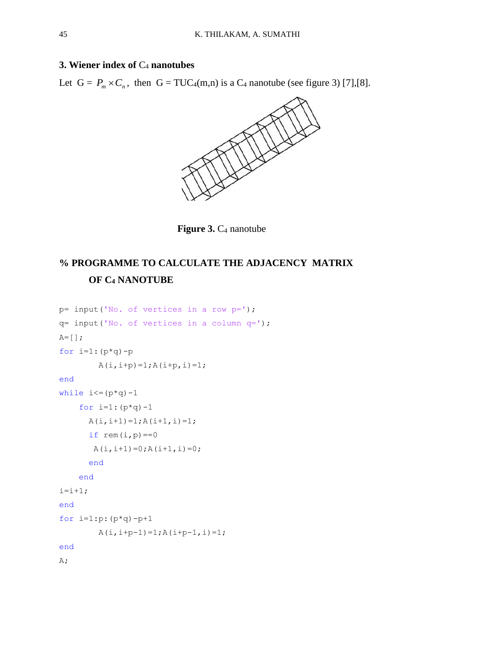### **3. Wiener index of** C<sup>4</sup> **nanotubes**

Let  $G = P_m \times C_n$ , then  $G = TUC_4(m,n)$  is a  $C_4$  nanotube (see figure 3) [7],[8].



**Figure 3.**  $C_4$  nanotube

# **% PROGRAMME TO CALCULATE THE ADJACENCY MATRIX OF C<sup>4</sup> NANOTUBE**

```
p= input('No. of vertices in a row p=');
q= input('No. of vertices in a column q=');
A=[] ;
for i=1: (p * q) - pA(i, i+p) = 1; A(i+p, i) = 1;end
while i \leq (p * q) - 1for i=1: (p * q) - 1A(i, i+1)=1; A(i+1, i)=1;if rem(i,p) == 0A(i, i+1)=0; A(i+1, i)=0; end
     end
i=i+1;end
for i=1:p:(p*q)-p+1A(i, i+p-1)=1; A(i+p-1, i)=1;end
A;
```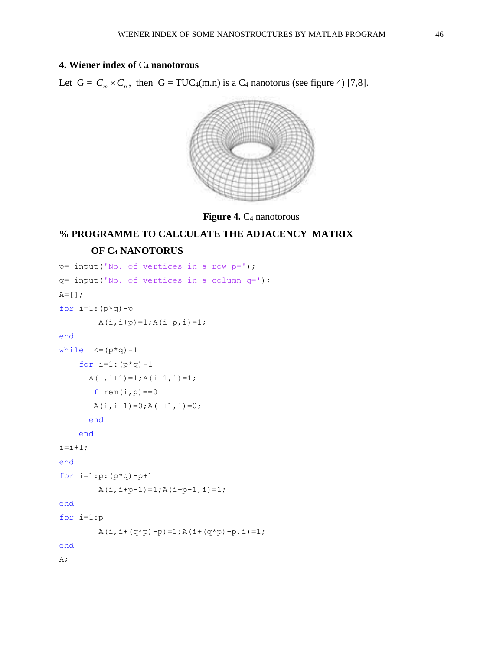### **4. Wiener index of** C<sup>4</sup> **nanotorous**

Let  $G = C_m \times C_n$ , then  $G = TUC_4(m.n)$  is a  $C_4$  nanotorus (see figure 4) [7,8].



**Figure 4.**  $C_4$  nanotorous

# **% PROGRAMME TO CALCULATE THE ADJACENCY MATRIX OF C<sup>4</sup> NANOTORUS**

```
p= input('No. of vertices in a row p=');
q= input('No. of vertices in a column q=');
A=[];
for i=1:(p*q)-pA(i, i+p) = 1; A(i+p, i) = 1;end
while i \leq (p * q) - 1for i=1: (p * q) - 1A(i, i+1)=1; A(i+1, i)=1;if rem(i,p) == 0A(i, i+1) = 0; A(i+1, i) = 0; end
     end
i=i+1;end
for i=1:p:(p*q)-p+1A(i, i+p-1)=1; A(i+p-1, i)=1;end
for i=1:p
        A(i, i+(q*p)-p)=1; A(i+(q*p)-p, i)=1;end
A;
```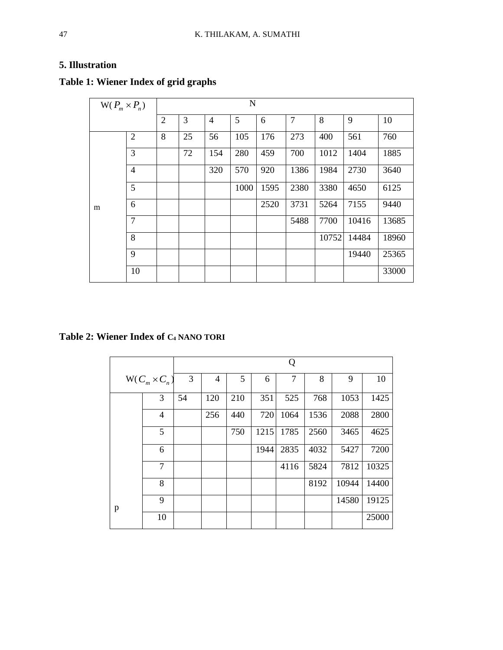### **5. Illustration**

| $W(P_m \times P_n)$ |                | $\mathbf N$    |    |                |      |      |      |       |       |       |
|---------------------|----------------|----------------|----|----------------|------|------|------|-------|-------|-------|
|                     |                | $\overline{2}$ | 3  | $\overline{4}$ | 5    | 6    | 7    | 8     | 9     | 10    |
| m                   | $\overline{2}$ | 8              | 25 | 56             | 105  | 176  | 273  | 400   | 561   | 760   |
|                     | 3              |                | 72 | 154            | 280  | 459  | 700  | 1012  | 1404  | 1885  |
|                     | $\overline{4}$ |                |    | 320            | 570  | 920  | 1386 | 1984  | 2730  | 3640  |
|                     | 5              |                |    |                | 1000 | 1595 | 2380 | 3380  | 4650  | 6125  |
|                     | 6              |                |    |                |      | 2520 | 3731 | 5264  | 7155  | 9440  |
|                     | $\overline{7}$ |                |    |                |      |      | 5488 | 7700  | 10416 | 13685 |
|                     | 8              |                |    |                |      |      |      | 10752 | 14484 | 18960 |
|                     | 9              |                |    |                |      |      |      |       | 19440 | 25365 |
|                     | 10             |                |    |                |      |      |      |       |       | 33000 |

# **Table 1: Wiener Index of grid graphs**

**Table 2: Wiener Index of C<sup>4</sup> NANO TORI**

|                    |                | Q  |     |     |      |      |      |       |       |  |
|--------------------|----------------|----|-----|-----|------|------|------|-------|-------|--|
| $W(C_n\times C_n)$ |                | 3  | 4   | 5   | 6    | 7    | 8    | 9     | 10    |  |
|                    | 3              | 54 | 120 | 210 | 351  | 525  | 768  | 1053  | 1425  |  |
|                    | $\overline{4}$ |    | 256 | 440 | 720  | 1064 | 1536 | 2088  | 2800  |  |
|                    | 5              |    |     | 750 | 1215 | 1785 | 2560 | 3465  | 4625  |  |
|                    | 6              |    |     |     | 1944 | 2835 | 4032 | 5427  | 7200  |  |
|                    | $\overline{7}$ |    |     |     |      | 4116 | 5824 | 7812  | 10325 |  |
|                    | 8              |    |     |     |      |      | 8192 | 10944 | 14400 |  |
| p                  | 9              |    |     |     |      |      |      | 14580 | 19125 |  |
|                    | 10             |    |     |     |      |      |      |       | 25000 |  |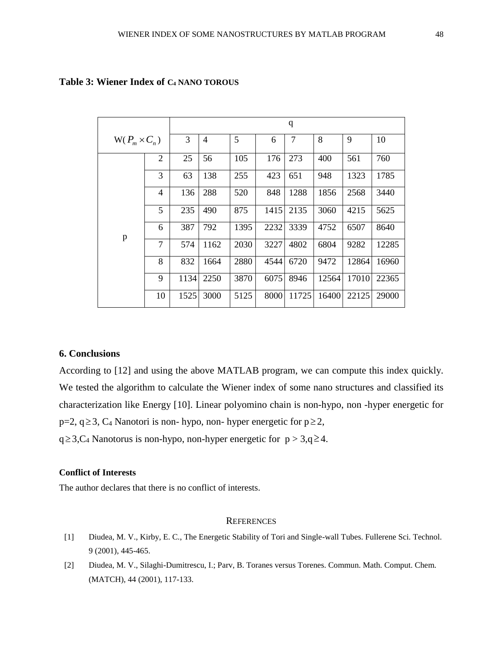|                    |                | q    |      |      |      |                |       |       |       |  |
|--------------------|----------------|------|------|------|------|----------------|-------|-------|-------|--|
| $W(P_m\times C_n)$ |                | 3    | 4    | 5    | 6    | $\overline{7}$ | 8     | 9     | 10    |  |
|                    | $\overline{2}$ | 25   | 56   | 105  | 176  | 273            | 400   | 561   | 760   |  |
|                    | 3              | 63   | 138  | 255  | 423  | 651            | 948   | 1323  | 1785  |  |
|                    | $\overline{4}$ | 136  | 288  | 520  | 848  | 1288           | 1856  | 2568  | 3440  |  |
| p                  | 5              | 235  | 490  | 875  | 1415 | 2135           | 3060  | 4215  | 5625  |  |
|                    | 6              | 387  | 792  | 1395 | 2232 | 3339           | 4752  | 6507  | 8640  |  |
|                    | 7              | 574  | 1162 | 2030 | 3227 | 4802           | 6804  | 9282  | 12285 |  |
|                    | 8              | 832  | 1664 | 2880 | 4544 | 6720           | 9472  | 12864 | 16960 |  |
|                    | 9              | 1134 | 2250 | 3870 | 6075 | 8946           | 12564 | 17010 | 22365 |  |
|                    | 10             | 1525 | 3000 | 5125 | 8000 | 11725          | 16400 | 22125 | 29000 |  |

### **Table 3: Wiener Index of C<sup>4</sup> NANO TOROUS**

### **6. Conclusions**

According to [12] and using the above MATLAB program, we can compute this index quickly. We tested the algorithm to calculate the Wiener index of some nano structures and classified its characterization like Energy [10]. Linear polyomino chain is non-hypo, non -hyper energetic for  $p=2, q \ge 3, C_4$  Nanotori is non-hypo, non-hyper energetic for  $p \ge 2$ ,

 $q \geq 3$ , C<sub>4</sub> Nanotorus is non-hypo, non-hyper energetic for  $p > 3$ ,  $q \geq 4$ .

#### **Conflict of Interests**

The author declares that there is no conflict of interests.

#### **REFERENCES**

- [1] Diudea, M. V., Kirby, E. C., The Energetic Stability of Tori and Single-wall Tubes. Fullerene Sci. Technol. 9 (2001), 445-465.
- [2] Diudea, M. V., Silaghi-Dumitrescu, I.; Parv, B. Toranes versus Torenes. Commun. Math. Comput. Chem. (MATCH), 44 (2001), 117-133.